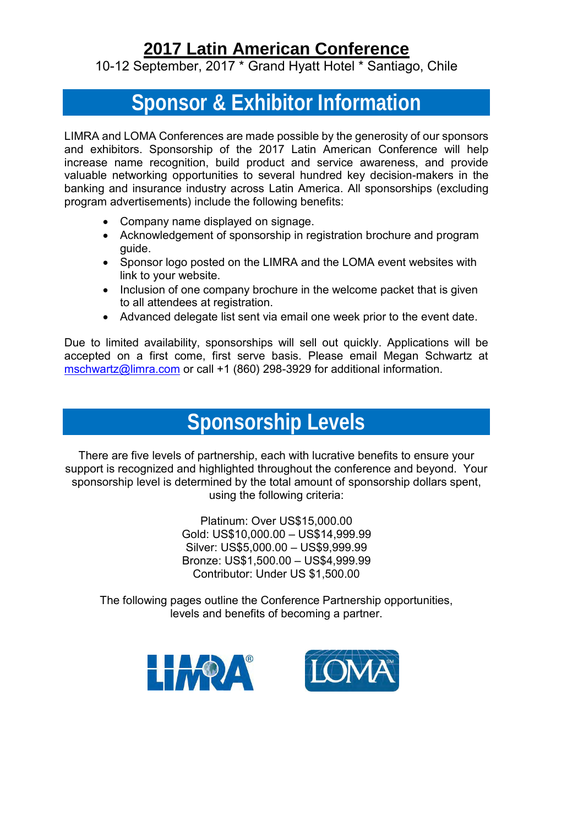## **[2017 Latin American Conference](http://www.limra.com/latinamericanconf/)**

10-12 September, 2017 \* Grand Hyatt Hotel \* Santiago, Chile

# **Sponsor & Exhibitor Information**

LIMRA and LOMA Conferences are made possible by the generosity of our sponsors and exhibitors. Sponsorship of the 2017 Latin American Conference will help increase name recognition, build product and service awareness, and provide valuable networking opportunities to several hundred key decision-makers in the banking and insurance industry across Latin America. All sponsorships (excluding program advertisements) include the following benefits:

- Company name displayed on signage.
- Acknowledgement of sponsorship in registration brochure and program guide.
- Sponsor logo posted on the LIMRA and the LOMA event websites with link to your website.
- Inclusion of one company brochure in the welcome packet that is given to all attendees at registration.
- Advanced delegate list sent via email one week prior to the event date.

Due to limited availability, sponsorships will sell out quickly. Applications will be accepted on a first come, first serve basis. Please email Megan Schwartz at [mschwartz@limra.com](mailto:mschwartz@limra.com) or call +1 (860) 298-3929 for additional information.

## **Sponsorship Levels**

There are five levels of partnership, each with lucrative benefits to ensure your support is recognized and highlighted throughout the conference and beyond. Your sponsorship level is determined by the total amount of sponsorship dollars spent, using the following criteria:

> Platinum: Over US\$15,000.00 Gold: US\$10,000.00 – US\$14,999.99 Silver: US\$5,000.00 – US\$9,999.99 Bronze: US\$1,500.00 – US\$4,999.99 Contributor: Under US \$1,500.00

The following pages outline the Conference Partnership opportunities, levels and benefits of becoming a partner.



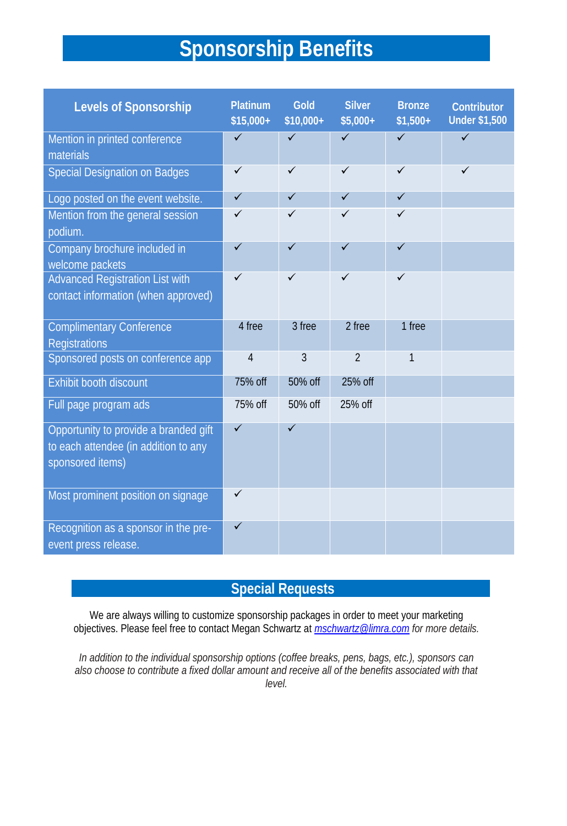# **Sponsorship Benefits**

| Levels of Sponsorship                                                                             | Platinum<br>$$15,000+$ | Gold<br>$$10,000+$ | Silver<br>$$5,000+$ | <b>Bronze</b><br>$$1,500+$ | Contributor<br><b>Under \$1,500</b> |
|---------------------------------------------------------------------------------------------------|------------------------|--------------------|---------------------|----------------------------|-------------------------------------|
| Mention in printed conference<br>materials                                                        | $\checkmark$           | $\checkmark$       | ✓                   | $\checkmark$               | ✓                                   |
| Special Designation on Badges                                                                     | $\checkmark$           | $\checkmark$       | $\checkmark$        | $\checkmark$               | $\checkmark$                        |
| Logo posted on the event website.                                                                 | $\checkmark$           | $\checkmark$       | $\checkmark$        | $\checkmark$               |                                     |
| Mention from the general session<br>podium.                                                       |                        |                    | ✓                   |                            |                                     |
| Company brochure included in<br>welcome packets                                                   | ✓                      | ✓                  | ✓                   | ✓                          |                                     |
| Advanced Registration List with                                                                   |                        | ✓                  |                     |                            |                                     |
| contact information (when approved)                                                               |                        |                    |                     |                            |                                     |
| <b>Complimentary Conference</b><br>Registrations                                                  | 4 free                 | 3 free             | 2 free              | 1 free                     |                                     |
| Sponsored posts on conference app                                                                 | $\overline{4}$         | 3                  | $\overline{2}$      | $\mathbf{1}$               |                                     |
| Exhibit booth discount                                                                            | 75% off                | 50% off            | 25% off             |                            |                                     |
| Full page program ads                                                                             | 75% off                | 50% off            | 25% off             |                            |                                     |
| Opportunity to provide a branded gift<br>to each attendee (in addition to any<br>sponsored items) | $\checkmark$           | $\checkmark$       |                     |                            |                                     |
| Most prominent position on signage                                                                |                        |                    |                     |                            |                                     |
| Recognition as a sponsor in the pre-<br>event press release.                                      | $\checkmark$           |                    |                     |                            |                                     |

## **Special Requests**

We are always willing to customize sponsorship packages in order to meet your marketing objectives. Please feel free to contact Megan Schwartz at *[mschwartz@limra.com](mailto:mschwartz@limra.com) for more details.*

*In addition to the individual sponsorship options (coffee breaks, pens, bags, etc.), sponsors can also choose to contribute a fixed dollar amount and receive all of the benefits associated with that level.*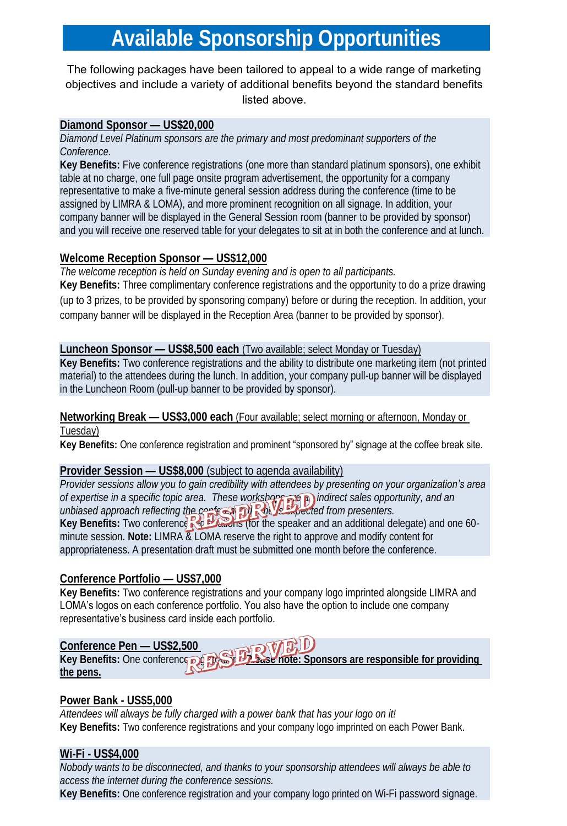# **Available Sponsorship Opportunities**

#### The following packages have been tailored to appeal to a wide range of marketing objectives and include a variety of additional benefits beyond the standard benefits listed above.

#### **Diamond Sponsor — US\$20,000**

*Diamond Level Platinum sponsors are the primary and most predominant supporters of the Conference.*

**Key Benefits:** Five conference registrations (one more than standard platinum sponsors), one exhibit table at no charge, one full page onsite program advertisement, the opportunity for a company representative to make a five-minute general session address during the conference (time to be assigned by LIMRA & LOMA), and more prominent recognition on all signage. In addition, your company banner will be displayed in the General Session room (banner to be provided by sponsor) and you will receive one reserved table for your delegates to sit at in both the conference and at lunch.

### **Welcome Reception Sponsor — US\$12,000**

*The welcome reception is held on Sunday evening and is open to all participants.* **Key Benefits:** Three complimentary conference registrations and the opportunity to do a prize drawing (up to 3 prizes, to be provided by sponsoring company) before or during the reception. In addition, your company banner will be displayed in the Reception Area (banner to be provided by sponsor).

#### **Luncheon Sponsor — US\$8,500 each** (Two available; select Monday or Tuesday)

**Key Benefits:** Two conference registrations and the ability to distribute one marketing item (not printed material) to the attendees during the lunch. In addition, your company pull-up banner will be displayed in the Luncheon Room (pull-up banner to be provided by sponsor).

#### **Networking Break — US\$3,000 each** (Four available; select morning or afternoon, Monday or Tuesday)

**Key Benefits:** One conference registration and prominent "sponsored by" signage at the coffee break site.

#### **Provider Session — US\$8,000** (subject to agenda availability)

*Provider sessions allow you to gain credibility with attendees by presenting on your organization's area of expertise in a specific topic area. These workshops are an indirect sales opportunity, and an*  unbiased approach reflecting the central **property of the interest of rom presenters**. Key Benefits: Two conference **Registere** (for the speaker and an additional delegate) and one 60minute session. **Note:** LIMRA & LOMA reserve the right to approve and modify content for appropriateness. A presentation draft must be submitted one month before the conference.

### **Conference Portfolio — US\$7,000**

**Key Benefits:** Two conference registrations and your company logo imprinted alongside LIMRA and LOMA's logos on each conference portfolio. You also have the option to include one company representative's business card inside each portfolio.

## **Conference Pen — US\$2,500 Key Benefits:** One conference **registration. Please note:** Sponsors are responsible for providing **the pens.**

### **Power Bank - US\$5,000**

*Attendees will always be fully charged with a power bank that has your logo on it!* **Key Benefits:** Two conference registrations and your company logo imprinted on each Power Bank.

#### **Wi-Fi - US\$4,000**

*Nobody wants to be disconnected, and thanks to your sponsorship attendees will always be able to access the internet during the conference sessions.*

**Key Benefits:** One conference registration and your company logo printed on Wi-Fi password signage.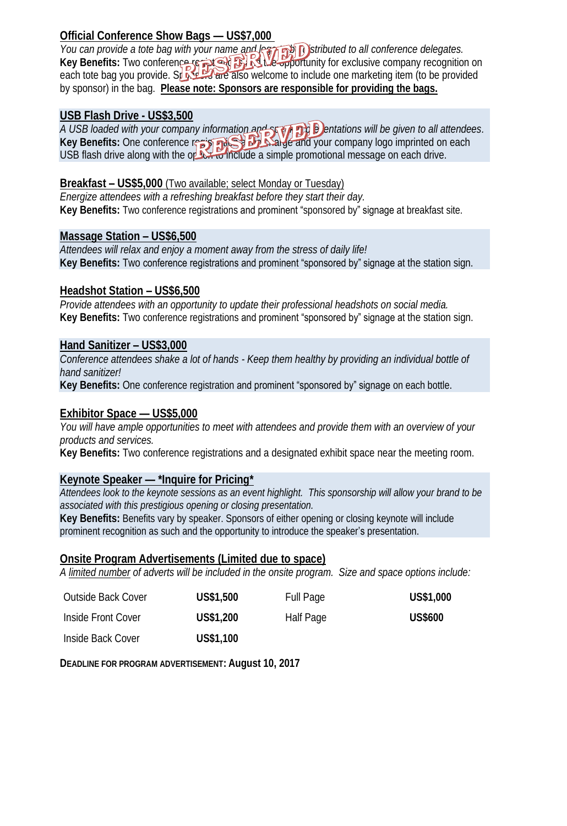### **Official Conference Show Bags — US\$7,000**

*You can provide a tote bag with your name and legal night positibuted to all conference delegates.* Key Benefits: Two conference removed **By in the opportunity for exclusive company recognition on** each tote bag you provide. Sponsors are also welcome to include one marketing item (to be provided by sponsor) in the bag. **Please note: Sponsors are responsible for providing the bags.**

### **USB Flash Drive - US\$3,500**

*A USB loaded with your company information and speaker presentations will be given to all attendees.* Key Benefits: One conference registration at the Starter and your company logo imprinted on each USB flash drive along with the option to include a simple promotional message on each drive.

#### **Breakfast – US\$5,000** (Two available; select Monday or Tuesday)

*Energize attendees with a refreshing breakfast before they start their day.* **Key Benefits:** Two conference registrations and prominent "sponsored by" signage at breakfast site.

### **Massage Station – US\$6,500**

*Attendees will relax and enjoy a moment away from the stress of daily life!* **Key Benefits:** Two conference registrations and prominent "sponsored by" signage at the station sign.

#### **Headshot Station – US\$6,500**

*Provide attendees with an opportunity to update their professional headshots on social media.*  **Key Benefits:** Two conference registrations and prominent "sponsored by" signage at the station sign.

#### **Hand Sanitizer – US\$3,000**

*Conference attendees shake a lot of hands - Keep them healthy by providing an individual bottle of hand sanitizer!*

**Key Benefits:** One conference registration and prominent "sponsored by" signage on each bottle.

#### **Exhibitor Space — US\$5,000**

*You will have ample opportunities to meet with attendees and provide them with an overview of your products and services.* 

**Key Benefits:** Two conference registrations and a designated exhibit space near the meeting room.

#### **Keynote Speaker — \*Inquire for Pricing\***

*Attendees look to the keynote sessions as an event highlight. This sponsorship will allow your brand to be associated with this prestigious opening or closing presentation.*

**Key Benefits:** Benefits vary by speaker. Sponsors of either opening or closing keynote will include prominent recognition as such and the opportunity to introduce the speaker's presentation.

#### **Onsite Program Advertisements (Limited due to space)**

*A limited number of adverts will be included in the onsite program. Size and space options include:*

| Outside Back Cover | US\$1,500 | Full Page | US\$1,000      |
|--------------------|-----------|-----------|----------------|
| Inside Front Cover | US\$1,200 | Half Page | <b>US\$600</b> |
| Inside Back Cover  | US\$1,100 |           |                |

**DEADLINE FOR PROGRAM ADVERTISEMENT: August 10, 2017**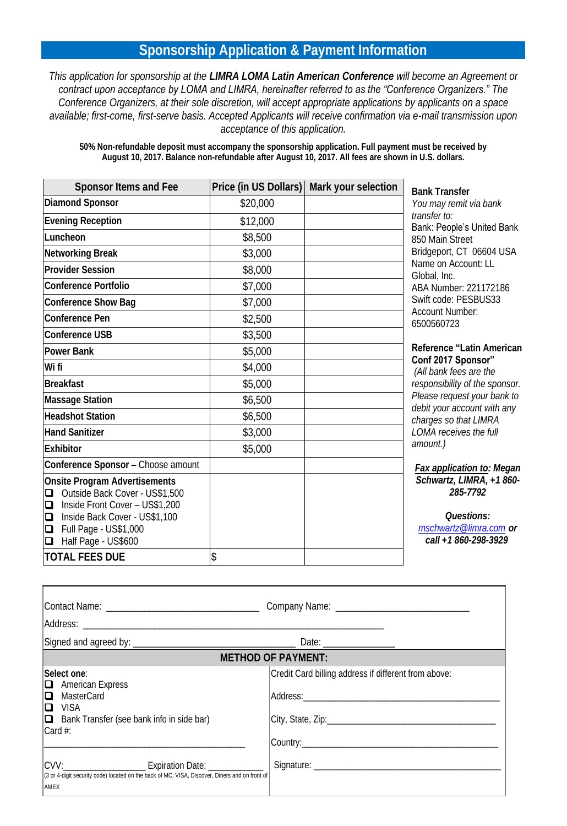## **Sponsorship Application & Payment Information**

*This application for sponsorship at the LIMRA LOMA Latin American Conference will become an Agreement or contract upon acceptance by LOMA and LIMRA, hereinafter referred to as the "Conference Organizers." The Conference Organizers, at their sole discretion, will accept appropriate applications by applicants on a space available; first-come, first-serve basis. Accepted Applicants will receive confirmation via e-mail transmission upon acceptance of this application.*

**50% Non-refundable deposit must accompany the sponsorship application. Full payment must be received by August 10, 2017. Balance non-refundable after August 10, 2017. All fees are shown in U.S. dollars.**

| Sponsor Items and Fee                                                                                                                                                                                                           | Price (in US Dollars) | Mark your selection |
|---------------------------------------------------------------------------------------------------------------------------------------------------------------------------------------------------------------------------------|-----------------------|---------------------|
| Diamond Sponsor                                                                                                                                                                                                                 | \$20,000              |                     |
| <b>Evening Reception</b>                                                                                                                                                                                                        | \$12,000              |                     |
| Luncheon                                                                                                                                                                                                                        | \$8,500               |                     |
| Networking Break                                                                                                                                                                                                                | \$3,000               |                     |
| Provider Session                                                                                                                                                                                                                | \$8,000               |                     |
| Conference Portfolio                                                                                                                                                                                                            | \$7,000               |                     |
| Conference Show Bag                                                                                                                                                                                                             | \$7,000               |                     |
| Conference Pen                                                                                                                                                                                                                  | \$2,500               |                     |
| Conference USB                                                                                                                                                                                                                  | \$3,500               |                     |
| Power Bank                                                                                                                                                                                                                      | \$5,000               |                     |
| Wi fi                                                                                                                                                                                                                           | \$4,000               |                     |
| <b>Breakfast</b>                                                                                                                                                                                                                | \$5,000               |                     |
| Massage Station                                                                                                                                                                                                                 | \$6,500               |                     |
| <b>Headshot Station</b>                                                                                                                                                                                                         | \$6,500               |                     |
| <b>Hand Sanitizer</b>                                                                                                                                                                                                           | \$3,000               |                     |
| Exhibitor                                                                                                                                                                                                                       | \$5,000               |                     |
| Conference Sponsor - Choose amount                                                                                                                                                                                              |                       |                     |
| Onsite Program Advertisements<br>Outside Back Cover - US\$1,500<br>❏<br>$\Box$<br>Inside Front Cover - US\$1,200<br>$\Box$<br>Inside Back Cover - US\$1,100<br>Full Page - US\$1,000<br>$\Box$<br>$\Box$<br>Half Page - US\$600 |                       |                     |
| <b>TOTAL FEES DUE</b>                                                                                                                                                                                                           | \$                    |                     |

**Bank Transfer** *You may remit via bank transfer to:* Bank: People's United Bank 850 Main Street Bridgeport, CT 06604 USA Name on Account: LL Global, Inc. ABA Number: 221172186 Swift code: PESBUS33 Account Number: 6500560723

#### **Reference "Latin American Conf 2017 Sponsor"**

*(All bank fees are the responsibility of the sponsor. Please request your bank to debit your account with any charges so that LIMRA LOMA receives the full amount.)*

*Fax application to: Megan Schwartz, LIMRA, +1 860- 285-7792*

*Questions: [mschwartz@limra.com](mailto:quinas@loma.org#_blank) or call +1 860-298-3929*

|                                                                                                                                                                                                    | <b>METHOD OF PAYMENT:</b>                            |
|----------------------------------------------------------------------------------------------------------------------------------------------------------------------------------------------------|------------------------------------------------------|
| ISelect one:<br>$\Box$ American Express<br>$\square$ MasterCard<br>IQ VISA<br>$\Box$ Bank Transfer (see bank info in side bar)<br>$\lfloor$ Card #:                                                | Credit Card billing address if different from above: |
| CVV: __________________________________ Expiration Date: _______________________<br>(3 or 4-digit security code) located on the back of MC, VISA, Discover, Diners and on front of<br><b>JAMEX</b> |                                                      |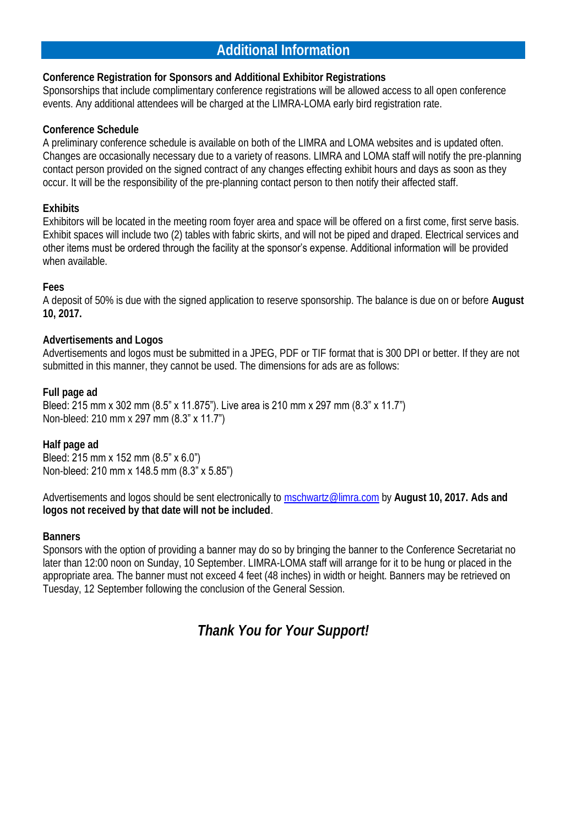## **Additional Information**

**Conference Registration for Sponsors and Additional Exhibitor Registrations** Sponsorships that include complimentary conference registrations will be allowed access to all open conference events. Any additional attendees will be charged at the LIMRA-LOMA early bird registration rate.

#### **Conference Schedule**

A preliminary conference schedule is available on both of the LIMRA and LOMA websites and is updated often. Changes are occasionally necessary due to a variety of reasons. LIMRA and LOMA staff will notify the pre-planning contact person provided on the signed contract of any changes effecting exhibit hours and days as soon as they occur. It will be the responsibility of the pre-planning contact person to then notify their affected staff.

#### **Exhibits**

Exhibitors will be located in the meeting room foyer area and space will be offered on a first come, first serve basis. Exhibit spaces will include two (2) tables with fabric skirts, and will not be piped and draped. Electrical services and other items must be ordered through the facility at the sponsor's expense. Additional information will be provided when available.

#### **Fees**

A deposit of 50% is due with the signed application to reserve sponsorship. The balance is due on or before **August 10, 2017.**

#### **Advertisements and Logos**

Advertisements and logos must be submitted in a JPEG, PDF or TIF format that is 300 DPI or better. If they are not submitted in this manner, they cannot be used. The dimensions for ads are as follows:

**Full page ad**

Bleed: 215 mm x 302 mm (8.5" x 11.875"). Live area is 210 mm x 297 mm (8.3" x 11.7") Non-bleed: 210 mm x 297 mm (8.3" x 11.7")

**Half page ad** Bleed: 215 mm x 152 mm (8.5" x 6.0") Non-bleed: 210 mm x 148.5 mm (8.3" x 5.85")

Advertisements and logos should be sent electronically to [mschwartz@limra.com](mailto:mschwartz@limra.com) by **August 10, 2017. Ads and logos not received by that date will not be included**.

#### **Banners**

Sponsors with the option of providing a banner may do so by bringing the banner to the Conference Secretariat no later than 12:00 noon on Sunday, 10 September. LIMRA-LOMA staff will arrange for it to be hung or placed in the appropriate area. The banner must not exceed 4 feet (48 inches) in width or height. Banners may be retrieved on Tuesday, 12 September following the conclusion of the General Session.

*Thank You for Your Support!*